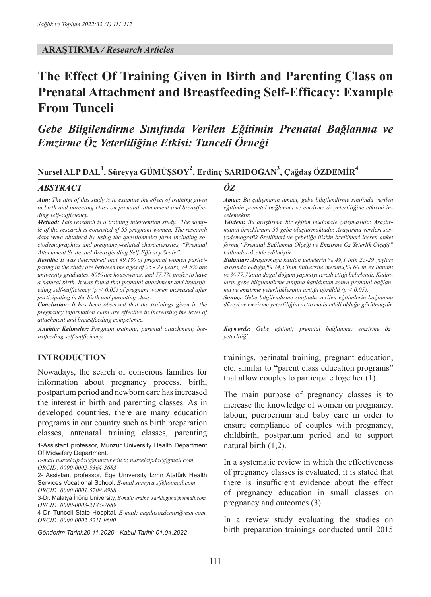#### **ARAŞTIRMA** */ Research Articles*

# **The Effect Of Training Given in Birth and Parenting Class on Prenatal Attachment and Breastfeeding Self-Efficacy: Example From Tunceli**

# *Gebe Bilgilendirme Sınıfında Verilen Eğitimin Prenatal Bağlanma ve Emzirme Öz Yeterliliğine Etkisi: Tunceli Örneği*

# **Nursel ALP DAL<sup>1</sup> , Süreyya GÜMÜŞSOY<sup>2</sup> , Erdinç SARIDOĞAN<sup>3</sup> , Çağdaş ÖZDEMİR<sup>4</sup>**

#### *ABSTRACT ÖZ*

*Aim: The aim of this study is to examine the effect of training given in birth and parenting class on prenatal attachment and breastfeeding self-sufficiency.*

*Method: This research is a training intervention study. The sample of the research is consisted of 55 pregnant women. The research data were obtained by using the questionnaire form including sociodemographics and pregnancy-related characteristics, "Prenatal Attachment Scale and Breastfeeding Self-Efficacy Scale".* 

*Results: It was determined that 49.1% of pregnant women participating in the study are between the ages of 25 - 29 years, 74.5% are university graduates, 60% are housewives, and 77.7% prefer to have a natural birth. It was found that prenatal attachment and breastfeeding self-sufficiency (p ˂ 0.05) of pregnant women increased after participating in the birth and parenting class.*

*Conclusion: It has been observed that the trainings given in the pregnancy information class are effective in increasing the level of attachment and breastfeeding competence.*

*Anahtar Kelimeler: Pregnant training; parental attachment; breastfeeding self-sufficiency.*

*Amaç: Bu çalışmanın amacı, gebe bilgilendirme sınıfında verilen eğitimin prenetal bağlanma ve emzirme öz yeterliliğine etkisini incelemektir.*

*Yöntem: Bu araştırma, bir eğitim müdahale çalışmasıdır. Araştırmanın örneklemini 55 gebe oluşturmaktadır. Araştırma verileri sosyodemografik özellikleri ve gebeliğe ilişkin özellikleri içeren anket formu,"Prenatal Bağlanma Ölçeği ve Emzirme Öz Yeterlik Ölçeği" kullanılarak elde edilmiştir.*

*Bulgular: Araştırmaya katılan gebelerin % 49,1'inin 25-29 yaşları arasında olduğu,% 74,5'inin üniversite mezunu,% 60'ın ev hanımı ve % 77,7'sinin doğal doğum yapmayı tercih ettiği belirlendi. Kadınların gebe bilgilendirme sınıfına katıldıktan sonra prenatal bağlanma ve emzirme yeterliliklerinin arttığı görüldü (p ˂ 0.05).*

*Sonuç: Gebe bilgilendirme sınıfında verilen eğitimlerin bağlanma düzeyi ve emzirme yeterliliğini arttırmada etkili olduğu görülmüştür.*

*Keywords: Gebe eğitimi; prenatal bağlanma; emzirme öz yeterliliği.*

#### **INTRODUCTION**

Nowadays, the search of conscious families for information about pregnancy process, birth, postpartum period and newborn care has increased the interest in birth and parenting classes. As in developed countries, there are many education programs in our country such as birth preparation classes, antenatal training classes, parenting

1-Assistant professor, Munzur University Health Department Of Midwifery Department.

*E-mail nurselalpdal@munzur.edu.tr, nurselalpdal@gmail.com. ORCID: 0000-0002-9364-3683*

2- Assistant professor, Ege Unıversıty Izmır Atatürk Health Servıces Vocatıonal School. *E-mail sureyya.s@hotmail.com ORCID: 0000-0001-5708-8988*

3-Dr. Malatya İnönü University, *E-mail: erdinc\_saridogan@hotmail.com, ORCID: 0000-0003-2183-7689*

4-Dr. Tunceli State Hospital, *E-mail: cagdasozdemir@msn.com, ORCID: 0000-0002-5211-9690*

*Gönderim Tarihi:20.11.2020 - Kabul Tarihi: 01.04.2022*

trainings, perinatal training, pregnant education, etc. similar to "parent class education programs" that allow couples to participate together (1).

The main purpose of pregnancy classes is to increase the knowledge of women on pregnancy, labour, puerperium and baby care in order to ensure compliance of couples with pregnancy, childbirth, postpartum period and to support natural birth (1,2).

In a systematic review in which the effectiveness of pregnancy classes is evaluated, it is stated that there is insufficient evidence about the effect of pregnancy education in small classes on pregnancy and outcomes (3).

In a review study evaluating the studies on birth preparation trainings conducted until 2015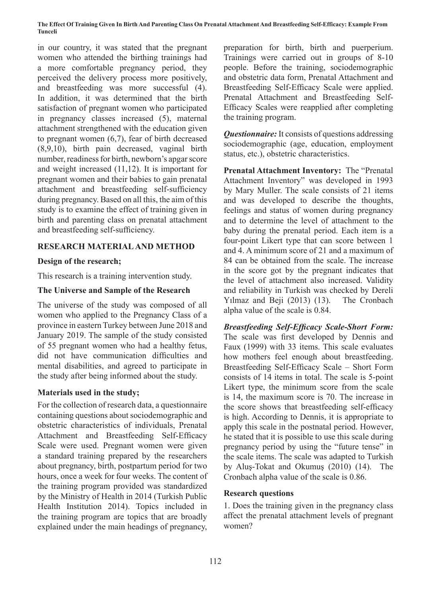#### **The Effect Of Training Given In Birth And Parenting Class On Prenatal Attachment And Breastfeeding Self-Efficacy: Example From Tunceli**

in our country, it was stated that the pregnant women who attended the birthing trainings had a more comfortable pregnancy period, they perceived the delivery process more positively, and breastfeeding was more successful (4). In addition, it was determined that the birth satisfaction of pregnant women who participated in pregnancy classes increased (5), maternal attachment strengthened with the education given to pregnant women (6,7), fear of birth decreased (8,9,10), birth pain decreased, vaginal birth number, readiness for birth, newborn's apgar score and weight increased (11,12). It is important for pregnant women and their babies to gain prenatal attachment and breastfeeding self-sufficiency during pregnancy. Based on all this, the aim of this study is to examine the effect of training given in birth and parenting class on prenatal attachment and breastfeeding self-sufficiency.

## **RESEARCH MATERIAL AND METHOD**

## **Design of the research;**

This research is a training intervention study.

## **The Universe and Sample of the Research**

The universe of the study was composed of all women who applied to the Pregnancy Class of a province in eastern Turkey between June 2018 and January 2019. The sample of the study consisted of 55 pregnant women who had a healthy fetus, did not have communication difficulties and mental disabilities, and agreed to participate in the study after being informed about the study.

### **Materials used in the study;**

For the collection of research data, a questionnaire containing questions about sociodemographic and obstetric characteristics of individuals, Prenatal Attachment and Breastfeeding Self-Efficacy Scale were used. Pregnant women were given a standard training prepared by the researchers about pregnancy, birth, postpartum period for two hours, once a week for four weeks. The content of the training program provided was standardized by the Ministry of Health in 2014 (Turkish Public Health Institution 2014). Topics included in the training program are topics that are broadly explained under the main headings of pregnancy, preparation for birth, birth and puerperium. Trainings were carried out in groups of 8-10 people. Before the training, sociodemographic and obstetric data form, Prenatal Attachment and Breastfeeding Self-Efficacy Scale were applied. Prenatal Attachment and Breastfeeding Self-Efficacy Scales were reapplied after completing the training program.

*Questionnaire:* It consists of questions addressing sociodemographic (age, education, employment status, etc.), obstetric characteristics.

**Prenatal Attachment Inventory:** The "Prenatal Attachment Inventory" was developed in 1993 by Mary Muller. The scale consists of 21 items and was developed to describe the thoughts, feelings and status of women during pregnancy and to determine the level of attachment to the baby during the prenatal period. Each item is a four-point Likert type that can score between 1 and 4. A minimum score of 21 and a maximum of 84 can be obtained from the scale. The increase in the score got by the pregnant indicates that the level of attachment also increased. Validity and reliability in Turkish was checked by Dereli Yılmaz and Beji (2013) (13). The Cronbach alpha value of the scale is 0.84.

*Breastfeeding Self-Efficacy Scale-Short Form:* The scale was first developed by Dennis and Faux (1999) with 33 items. This scale evaluates how mothers feel enough about breastfeeding. Breastfeeding Self-Efficacy Scale – Short Form consists of 14 items in total. The scale is 5-point Likert type, the minimum score from the scale is 14, the maximum score is 70. The increase in the score shows that breastfeeding self-efficacy is high. According to Dennis, it is appropriate to apply this scale in the postnatal period. However, he stated that it is possible to use this scale during pregnancy period by using the "future tense" in the scale items. The scale was adapted to Turkish by Aluş-Tokat and Okumuş (2010) (14). The Cronbach alpha value of the scale is 0.86.

# **Research questions**

1. Does the training given in the pregnancy class affect the prenatal attachment levels of pregnant women?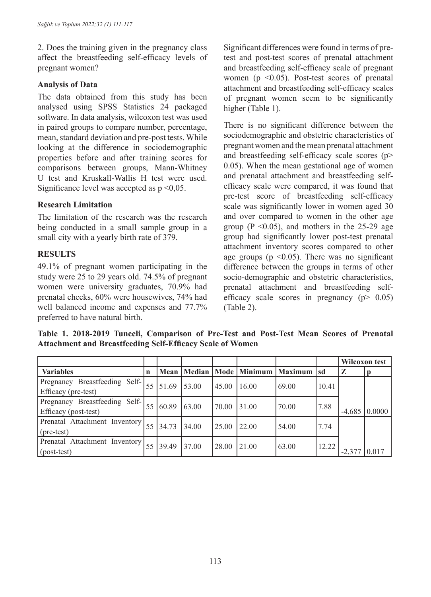2. Does the training given in the pregnancy class affect the breastfeeding self-efficacy levels of pregnant women?

#### **Analysis of Data**

The data obtained from this study has been analysed using SPSS Statistics 24 packaged software. In data analysis, wilcoxon test was used in paired groups to compare number, percentage, mean, standard deviation and pre-post tests. While looking at the difference in sociodemographic properties before and after training scores for comparisons between groups, Mann-Whitney U test and Kruskall-Wallis H test were used. Significance level was accepted as  $p \leq 0.05$ .

### **Research Limitation**

The limitation of the research was the research being conducted in a small sample group in a small city with a yearly birth rate of 379.

### **RESULTS**

49.1% of pregnant women participating in the study were 25 to 29 years old. 74.5% of pregnant women were university graduates, 70.9% had prenatal checks, 60% were housewives, 74% had well balanced income and expenses and 77.7% preferred to have natural birth.

Significant differences were found in terms of pretest and post-test scores of prenatal attachment and breastfeeding self-efficacy scale of pregnant women ( $p \leq 0.05$ ). Post-test scores of prenatal attachment and breastfeeding self-efficacy scales of pregnant women seem to be significantly higher (Table 1).

There is no significant difference between the sociodemographic and obstetric characteristics of pregnant women and the mean prenatal attachment and breastfeeding self-efficacy scale scores (p> 0.05). When the mean gestational age of women and prenatal attachment and breastfeeding selfefficacy scale were compared, it was found that pre-test score of breastfeeding self-efficacy scale was significantly lower in women aged 30 and over compared to women in the other age group ( $P \le 0.05$ ), and mothers in the 25-29 age group had significantly lower post-test prenatal attachment inventory scores compared to other age groups ( $p \le 0.05$ ). There was no significant difference between the groups in terms of other socio-demographic and obstetric characteristics, prenatal attachment and breastfeeding selfefficacy scale scores in pregnancy  $(p > 0.05)$ (Table 2).

**Table 1. 2018-2019 Tunceli, Comparison of Pre-Test and Post-Test Mean Scores of Prenatal Attachment and Breastfeeding Self-Efficacy Scale of Women**

|                                                                         |             |       |       |       |                         |                |       | Wilcoxon test |                      |
|-------------------------------------------------------------------------|-------------|-------|-------|-------|-------------------------|----------------|-------|---------------|----------------------|
| <b>Variables</b>                                                        | $\mathbf n$ | Mean  |       |       | Median   Mode   Minimum | <b>Maximum</b> | Isd   | $\mathbf{z}$  |                      |
| Pregnancy Breastfeeding Self-                                           | 55          |       |       |       |                         |                |       |               |                      |
| Efficacy (pre-test)                                                     |             | 51.69 | 53.00 | 45.00 | 16.00                   | 69.00          | 10.41 |               |                      |
| Pregnancy Breastfeeding Self-                                           | 55          | 60.89 |       |       |                         |                |       |               |                      |
| Efficacy (post-test)                                                    |             |       | 63.00 | 70.00 | 31.00                   | 70.00          | 7.88  | $-4,685$      | $\vert 0.0000 \vert$ |
| <b>Prenatal Attachment Inventory</b> $\begin{bmatrix} 55 \end{bmatrix}$ |             | 34.73 | 34.00 | 25.00 | 22.00                   | 54.00          | 7.74  |               |                      |
| $(\text{pre-test})$                                                     |             |       |       |       |                         |                |       |               |                      |
| Prenatal Attachment Inventory                                           | 55          |       |       |       |                         |                |       |               |                      |
| $\left($ post-test $\right)$                                            |             | 39.49 | 37.00 | 28.00 | 21.00                   | 63.00          | 12.22 | $-2.377$      | 0.017                |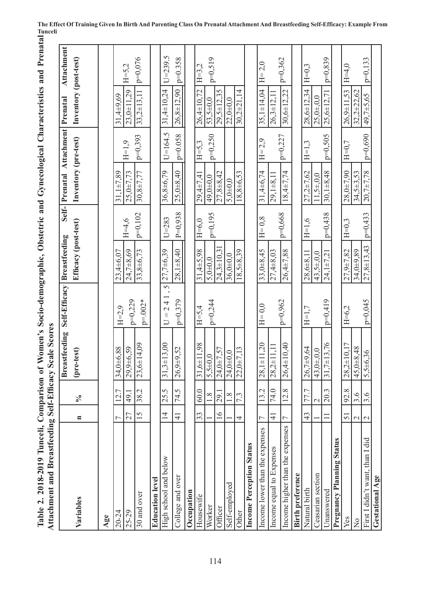| Table 2. 2018-2019 Tunceli, Comparison of Women's Socio-demographic, Obstetric and Gynecological Characteristics and Prenatal E<br>Attachment and Breastfeeding Self-Efficacy Scale Scores<br>Attachment and Breastfeeding Self-Efficacy Scale Scores |                 |                  |                      |                        |                                      |           |                                    |            |                       |             |  |
|-------------------------------------------------------------------------------------------------------------------------------------------------------------------------------------------------------------------------------------------------------|-----------------|------------------|----------------------|------------------------|--------------------------------------|-----------|------------------------------------|------------|-----------------------|-------------|--|
|                                                                                                                                                                                                                                                       |                 |                  | <b>Breastfeeding</b> | Self-Efficacy          | <b>Breastfeeding</b>                 |           | Self- Prenatal Attachment Prenatal |            |                       | Attachment  |  |
| Variables                                                                                                                                                                                                                                             | $\blacksquare$  | $\sqrt{6}$       | (pre-test)           |                        | Efficacy (post-test)                 |           | Inventory (pre-test)               |            | Inventory (post-test) |             |  |
| Age                                                                                                                                                                                                                                                   |                 |                  |                      |                        |                                      |           |                                    |            |                       |             |  |
| $20 - 24$                                                                                                                                                                                                                                             | ᠵ               | $\overline{2}$ . | 34,0±6,88            | $H = 2.9$              | $23,4+6,07$                          |           | $31.1 \pm 7.89$                    |            | $31,4+9,69$           |             |  |
| 25-29                                                                                                                                                                                                                                                 | 27              | 49.1             | $29,9+6,59$          | $p=0,229$              | 24,7±8,69                            | $H=4,6$   | $25,0 \pm 7,73$                    | $H=1.9$    | 23,0±11,29            | $H=5.2$     |  |
| 30 and over                                                                                                                                                                                                                                           | 15              | 38.2             | $23,6 \pm 14,09$     | $p = 002*$             | $33,8+6,73$                          | $p=0,102$ | $30,8 \pm 7,77$                    | $ p=0,393$ | $33,2 \pm 13,11$      | p=0,076     |  |
| <b>Education level</b>                                                                                                                                                                                                                                |                 |                  |                      |                        |                                      |           |                                    |            |                       |             |  |
| High school and below                                                                                                                                                                                                                                 | $\overline{4}$  | 25.5             | $31,3 \pm 13,00$     | 5<br>$= 241$<br>$\Box$ | $27,7+6,39$                          | $U = 283$ | 36,8±6,79                          | $U=164.5$  | $31,4 \pm 10,24$      | $U = 239.5$ |  |
| College and over                                                                                                                                                                                                                                      | $\overline{4}$  | 74.5             | $26,9+9,52$          | $p=0,379$              | $28,1 + 8,40$                        | $P=0.938$ | $25,0 + 8,40$                      | p=0.058    | 26,8±12,90            | $p=0.358$   |  |
| Occupation                                                                                                                                                                                                                                            |                 |                  |                      |                        |                                      |           |                                    |            |                       |             |  |
| Housewife                                                                                                                                                                                                                                             | 33              | 60.0             | $31,6 \pm 11,98$     | $H = 5.4$              | $31,4+5,98$                          | $H=6.0$   | 29,4±7,41                          | $H = 5.3$  | 26,4±10,72            | $H = 3.2$   |  |
| Worker                                                                                                                                                                                                                                                |                 | 1.8              | $5,5+0,0$            | p=0,244                | $5,0 + 0,0$                          | $p=0,195$ | 49,0±0,0                           | $p=0,250$  | $53,5 + 0,0$          | $p=0,519$   |  |
| Officer                                                                                                                                                                                                                                               | $\geq$          | 29.1             | 24,0±7,57            |                        | $24.3 \pm 10.31$                     |           | $27,8+8,42$                        |            | $29,5 \pm 12,35$      |             |  |
| Self-employed                                                                                                                                                                                                                                         |                 | 1.8              | $24,0+0,0$           |                        | $36,0+0,0$                           |           | $5,0\pm0,0$                        |            | $22.0 + 0.0$          |             |  |
| Other                                                                                                                                                                                                                                                 | 4               | 7.3              | $22,0+7,13$          |                        | $18,5+8,39$                          |           | $18,8+6,53$                        |            | $30,2 \pm 21,14$      |             |  |
| Income Perception Status                                                                                                                                                                                                                              |                 |                  |                      |                        |                                      |           |                                    |            |                       |             |  |
| Income lower than the expenses                                                                                                                                                                                                                        |                 | 13.2             | $28,1 \pm 11,20$     | $H=0,0$                | $33,0 + 8,45$                        | $H=0,8$   | $31,4\pm 6,74$                     | $H = 2,9$  | $35,1 \pm 14.04$      | $H = 2,0$   |  |
| Income equal to Expenses                                                                                                                                                                                                                              | $\frac{1}{4}$   | 74.0             | $28,2 \pm 11,11$     |                        | 27,4±8,03                            |           | $29,1+8,11$                        |            | $26,3+12,11$          |             |  |
| Income higher than the expenses                                                                                                                                                                                                                       |                 | 12.8             | $26,4+10,40$         | $p=0,962$              | $26,4\pm7,88$                        | $p=0,668$ | $18,4\pm 7,74$                     | $p=0,227$  | $30,6 \pm 12,22$      | $p=0,362$   |  |
| <b>Birth preference</b>                                                                                                                                                                                                                               |                 |                  |                      |                        |                                      |           |                                    |            |                       |             |  |
| Natural birth                                                                                                                                                                                                                                         | 43              | 77.7             | $26,7+9,64$          | $H=1,7$                | $28,6+8,11$                          | $H=1,6$   | $27.2 \pm 7.62$                    | $H=1,3$    | $28,6 \pm 12,34$      | $H=0,3$     |  |
| <b>Ceasarian</b> section                                                                                                                                                                                                                              |                 | $\mathcal{C}$    | 43,0 $\pm$ ,0,0      |                        | $43,5 \pm 0.0$                       |           | $11.5 \pm 0.0$                     |            | $25.0 + 0.0$          |             |  |
| Jnanswered                                                                                                                                                                                                                                            |                 | 20.3             | $31,7 \pm 13,76$     | $p=0,419$              | $\tilde{\mathcal{L}}$<br>$24,1\pm7,$ | $p=0,438$ | $30,1 + 8,48$                      | $p=0,505$  | 25,6±12,71            | $p=0,839$   |  |
| <b>Pregnancy Planning Status</b>                                                                                                                                                                                                                      |                 |                  |                      |                        |                                      |           |                                    |            |                       |             |  |
| Yes                                                                                                                                                                                                                                                   | 51              | 92.8             | $28,2 \pm 10,17$     | $H = 6.2$              | 27,9±7,82                            | $H=0.3$   | 28,0±7,90                          | $H=0,7$    | $26.9 \pm 11.53$      | $H=4.0$     |  |
| $\frac{1}{2}$                                                                                                                                                                                                                                         | $\mathbf{\sim}$ | 3.6              | 45,0±8,48            |                        | 34,0±9,89                            |           | $34,5 \pm 3,53$                    |            | $32,2+22,62$          |             |  |
| First I didn't want, than I did                                                                                                                                                                                                                       | $\mathbf 2$     | 3.6              | $5,5\pm 6,36$        | p=0,045                | $27,8 \pm 13,43$                     | $p=0,433$ | 20,7±7,78                          | $p=0,690$  | 49,7±5,65             | $p=0,133$   |  |
| Gestational Age                                                                                                                                                                                                                                       |                 |                  |                      |                        |                                      |           |                                    |            |                       |             |  |

# **The Effect Of Training Given In Birth And Parenting Class On Prenatal Attachment And Breastfeeding Self-Efficacy: Example From**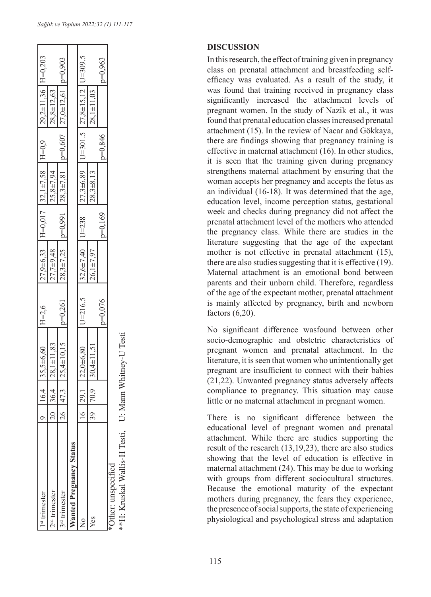| <sup>st</sup> trimester              |                |                 | $ 35,5\pm 6,60 $ H=2,6                                                                         |           |               |           |                 |           | $27,9\pm 6,33$  H=0,017  32,1±7,58  H=0,9  29,2±11,36  H=0,203                     |           |
|--------------------------------------|----------------|-----------------|------------------------------------------------------------------------------------------------|-----------|---------------|-----------|-----------------|-----------|------------------------------------------------------------------------------------|-----------|
| <sup>nd</sup> trimester              |                |                 | $ 28,1\pm11,83$                                                                                |           | $27,7+9,48$   |           | $25,8 \pm 7,94$ |           | $28,8 \pm 12,63$                                                                   |           |
| <sup>rd</sup> trimester              |                |                 | $125,4\pm 10,15$ $p=0,261$                                                                     |           |               |           |                 |           | $28,3\pm7,25$   $p=0.991$   $28,3\pm7,81$   $p=0.607$   $27,0\pm12,61$   $p=0.903$ |           |
| <b>Nanted Pregnancy Status</b>       |                |                 |                                                                                                |           |               |           |                 |           |                                                                                    |           |
|                                      |                | $\overline{29}$ | $ 22,0+6,80$ $ U=216.5$ $ 32,6+7,40$ $ U=238$ $ 27,3+6,89$ $ U=301.5$ $ 27,8+15,12$ $ U=309.5$ |           |               |           |                 |           |                                                                                    |           |
| Yes                                  | $\frac{30}{2}$ |                 | $130,4 \pm 11,51$                                                                              |           | $26,1\pm7,97$ |           | $28,3+8,13$     |           | $28,1 \pm 11,03$                                                                   |           |
|                                      |                |                 |                                                                                                | $p=0,076$ |               | $p=0,169$ |                 | $v=0,846$ |                                                                                    | $p=0.963$ |
| Other: unspecified                   |                |                 |                                                                                                |           |               |           |                 |           |                                                                                    |           |
| **H: Kruskal Wallis-H Testi, U: Mann |                |                 | Whitney-U Testi                                                                                |           |               |           |                 |           |                                                                                    |           |

#### **DISCUSSION**

In this research, the effect of training given in pregnancy class on prenatal attachment and breastfeeding selfefficacy was evaluated. As a result of the study, it was found that training received in pregnancy class significantly increased the attachment levels of pregnant women. In the study of Nazik et al., it was found that prenatal education classes increased prenatal attachment (15). In the review of Nacar and Gökkaya, there are findings showing that pregnancy training is effective in maternal attachment (16). In other studies, it is seen that the training given during pregnancy strengthens maternal attachment by ensuring that the woman accepts her pregnancy and accepts the fetus as an individual (16-18). It was determined that the age, education level, income perception status, gestational week and checks during pregnancy did not affect the prenatal attachment level of the mothers who attended the pregnancy class. While there are studies in the literature suggesting that the age of the expectant mother is not effective in prenatal attachment (15), there are also studies suggesting that it is effective (19). Maternal attachment is an emotional bond between parents and their unborn child. Therefore, regardless of the age of the expectant mother, prenatal attachment is mainly affected by pregnancy, birth and newborn factors (6,20).

No significant difference wasfound between other socio-demographic and obstetric characteristics of pregnant women and prenatal attachment. In the literature, it is seen that women who unintentionally get pregnant are insufficient to connect with their babies (21,22). Unwanted pregnancy status adversely affects compliance to pregnancy. This situation may cause little or no maternal attachment in pregnant women.

There is no significant difference between the educational level of pregnant women and prenatal attachment. While there are studies supporting the result of the research (13,19,23), there are also studies showing that the level of education is effective in maternal attachment (24). This may be due to working with groups from different sociocultural structures. Because the emotional maturity of the expectant mothers during pregnancy, the fears they experience, the presence of social supports, the state of experiencing physiological and psychological stress and adaptation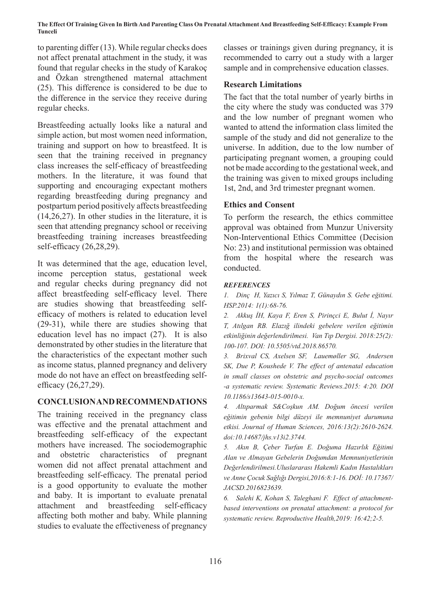**The Effect Of Training Given In Birth And Parenting Class On Prenatal Attachment And Breastfeeding Self-Efficacy: Example From Tunceli**

to parenting differ (13). While regular checks does not affect prenatal attachment in the study, it was found that regular checks in the study of Karakoç and Özkan strengthened maternal attachment (25). This difference is considered to be due to the difference in the service they receive during regular checks.

Breastfeeding actually looks like a natural and simple action, but most women need information, training and support on how to breastfeed. It is seen that the training received in pregnancy class increases the self-efficacy of breastfeeding mothers. In the literature, it was found that supporting and encouraging expectant mothers regarding breastfeeding during pregnancy and postpartum period positively affects breastfeeding (14,26,27). In other studies in the literature, it is seen that attending pregnancy school or receiving breastfeeding training increases breastfeeding self-efficacy (26,28,29).

It was determined that the age, education level, income perception status, gestational week and regular checks during pregnancy did not affect breastfeeding self-efficacy level. There are studies showing that breastfeeding selfefficacy of mothers is related to education level (29-31), while there are studies showing that education level has no impact (27). It is also demonstrated by other studies in the literature that the characteristics of the expectant mother such as income status, planned pregnancy and delivery mode do not have an effect on breastfeeding selfefficacy (26,27,29).

### **CONCLUSION AND RECOMMENDATIONS**

The training received in the pregnancy class was effective and the prenatal attachment and breastfeeding self-efficacy of the expectant mothers have increased. The sociodemographic and obstetric characteristics of pregnant women did not affect prenatal attachment and breastfeeding self-efficacy. The prenatal period is a good opportunity to evaluate the mother and baby. It is important to evaluate prenatal attachment and breastfeeding self-efficacy affecting both mother and baby. While planning studies to evaluate the effectiveness of pregnancy classes or trainings given during pregnancy, it is recommended to carry out a study with a larger sample and in comprehensive education classes.

### **Research Limitations**

The fact that the total number of yearly births in the city where the study was conducted was 379 and the low number of pregnant women who wanted to attend the information class limited the sample of the study and did not generalize to the universe. In addition, due to the low number of participating pregnant women, a grouping could not be made according to the gestational week, and the training was given to mixed groups including 1st, 2nd, and 3rd trimester pregnant women.

### **Ethics and Consent**

To perform the research, the ethics committee approval was obtained from Munzur University Non-Interventional Ethics Committee (Decision No: 23) and institutional permission was obtained from the hospital where the research was conducted.

#### *REFERENCES*

*1. Dinç H, Yazıcı S, Yılmaz T, Günaydın S. Gebe eğitimi. HSP.2014: 1(1):68-76.*

*2. Akkuş İH, Kaya F, Eren S, Pirinçci E, Bulut İ, Nayır T, Atılgan RB. Elazığ ilindeki gebelere verilen eğitimin etkinliğinin değerlendirilmesi. Van Tıp Dergisi. 2018:25(2): 100-107. DOI: 10.5505/vtd.2018.86570.*

*3. Brixval CS, Axelsen SF, Lauemøller SG, Andersen SK, Due P, Koushede V. The effect of antenatal education in small classes on obstetric and psycho-social outcomes -a systematic review. Systematic Reviews.2015: 4:20. DOI 10.1186/s13643-015-0010-x.*

*4. Altıparmak S&Coşkun AM. Doğum öncesi verilen eğitimin gebenin bilgi düzeyi ile memnuniyet durumuna etkisi. Journal of Human Sciences, 2016:13(2):2610-2624. doi:10.14687/jhs.v13i2.3744.*

*5. Akın B, Çeber Turfan E. Doğuma Hazırlık Eğitimi Alan ve Almayan Gebelerin Doğumdan Memnuniyetlerinin Değerlendirilmesi.Uluslararası Hakemli Kadın Hastalıkları ve Anne Çocuk Sağlığı Dergisi,2016:8:1-16. DOİ: 10.17367/ JACSD.2016823639.*

*6. Salehi K, Kohan S, Taleghani F. Effect of attachmentbased interventions on prenatal attachment: a protocol for systematic review. Reproductive Health,2019: 16:42;2-5.*